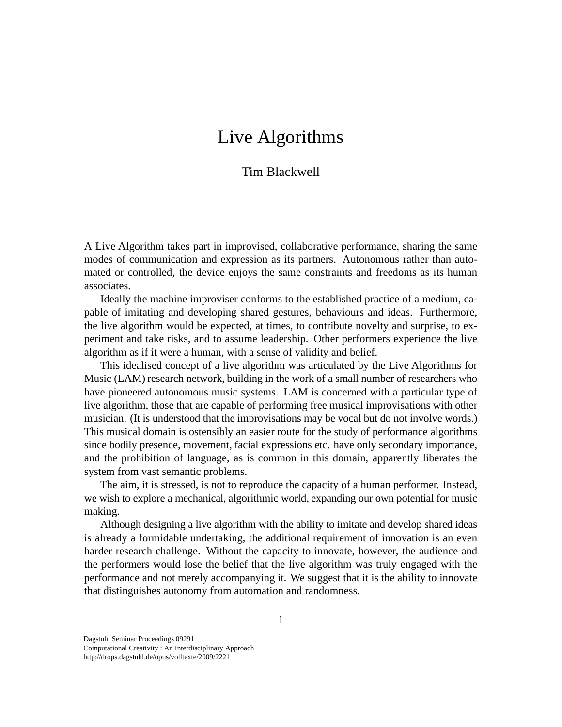## Live Algorithms

## Tim Blackwell

A Live Algorithm takes part in improvised, collaborative performance, sharing the same modes of communication and expression as its partners. Autonomous rather than automated or controlled, the device enjoys the same constraints and freedoms as its human associates.

Ideally the machine improviser conforms to the established practice of a medium, capable of imitating and developing shared gestures, behaviours and ideas. Furthermore, the live algorithm would be expected, at times, to contribute novelty and surprise, to experiment and take risks, and to assume leadership. Other performers experience the live algorithm as if it were a human, with a sense of validity and belief.

This idealised concept of a live algorithm was articulated by the Live Algorithms for Music (LAM) research network, building in the work of a small number of researchers who have pioneered autonomous music systems. LAM is concerned with a particular type of live algorithm, those that are capable of performing free musical improvisations with other musician. (It is understood that the improvisations may be vocal but do not involve words.) This musical domain is ostensibly an easier route for the study of performance algorithms since bodily presence, movement, facial expressions etc. have only secondary importance, and the prohibition of language, as is common in this domain, apparently liberates the system from vast semantic problems.

The aim, it is stressed, is not to reproduce the capacity of a human performer. Instead, we wish to explore a mechanical, algorithmic world, expanding our own potential for music making.

Although designing a live algorithm with the ability to imitate and develop shared ideas is already a formidable undertaking, the additional requirement of innovation is an even harder research challenge. Without the capacity to innovate, however, the audience and the performers would lose the belief that the live algorithm was truly engaged with the performance and not merely accompanying it. We suggest that it is the ability to innovate that distinguishes autonomy from automation and randomness.

Dagstuhl Seminar Proceedings 09291 Computational Creativity : An Interdisciplinary Approach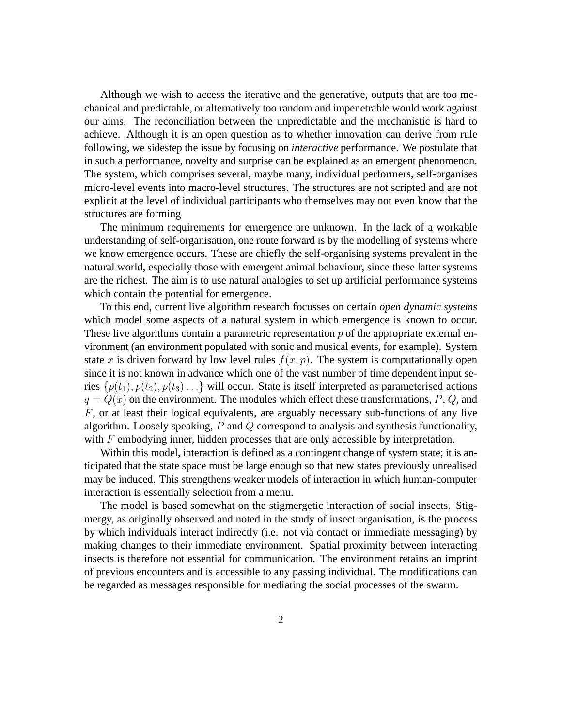Although we wish to access the iterative and the generative, outputs that are too mechanical and predictable, or alternatively too random and impenetrable would work against our aims. The reconciliation between the unpredictable and the mechanistic is hard to achieve. Although it is an open question as to whether innovation can derive from rule following, we sidestep the issue by focusing on *interactive* performance. We postulate that in such a performance, novelty and surprise can be explained as an emergent phenomenon. The system, which comprises several, maybe many, individual performers, self-organises micro-level events into macro-level structures. The structures are not scripted and are not explicit at the level of individual participants who themselves may not even know that the structures are forming

The minimum requirements for emergence are unknown. In the lack of a workable understanding of self-organisation, one route forward is by the modelling of systems where we know emergence occurs. These are chiefly the self-organising systems prevalent in the natural world, especially those with emergent animal behaviour, since these latter systems are the richest. The aim is to use natural analogies to set up artificial performance systems which contain the potential for emergence.

To this end, current live algorithm research focusses on certain *open dynamic systems* which model some aspects of a natural system in which emergence is known to occur. These live algorithms contain a parametric representation p of the appropriate external environment (an environment populated with sonic and musical events, for example). System state *x* is driven forward by low level rules  $f(x, p)$ . The system is computationally open since it is not known in advance which one of the vast number of time dependent input series  $\{p(t_1), p(t_2), p(t_3), \ldots\}$  will occur. State is itself interpreted as parameterised actions  $q = Q(x)$  on the environment. The modules which effect these transformations,  $P$ ,  $Q$ , and *F*, or at least their logical equivalents, are arguably necessary sub-functions of any live algorithm. Loosely speaking, *P* and *Q* correspond to analysis and synthesis functionality, with *F* embodying inner, hidden processes that are only accessible by interpretation.

Within this model, interaction is defined as a contingent change of system state; it is anticipated that the state space must be large enough so that new states previously unrealised may be induced. This strengthens weaker models of interaction in which human-computer interaction is essentially selection from a menu.

The model is based somewhat on the stigmergetic interaction of social insects. Stigmergy, as originally observed and noted in the study of insect organisation, is the process by which individuals interact indirectly (i.e. not via contact or immediate messaging) by making changes to their immediate environment. Spatial proximity between interacting insects is therefore not essential for communication. The environment retains an imprint of previous encounters and is accessible to any passing individual. The modifications can be regarded as messages responsible for mediating the social processes of the swarm.